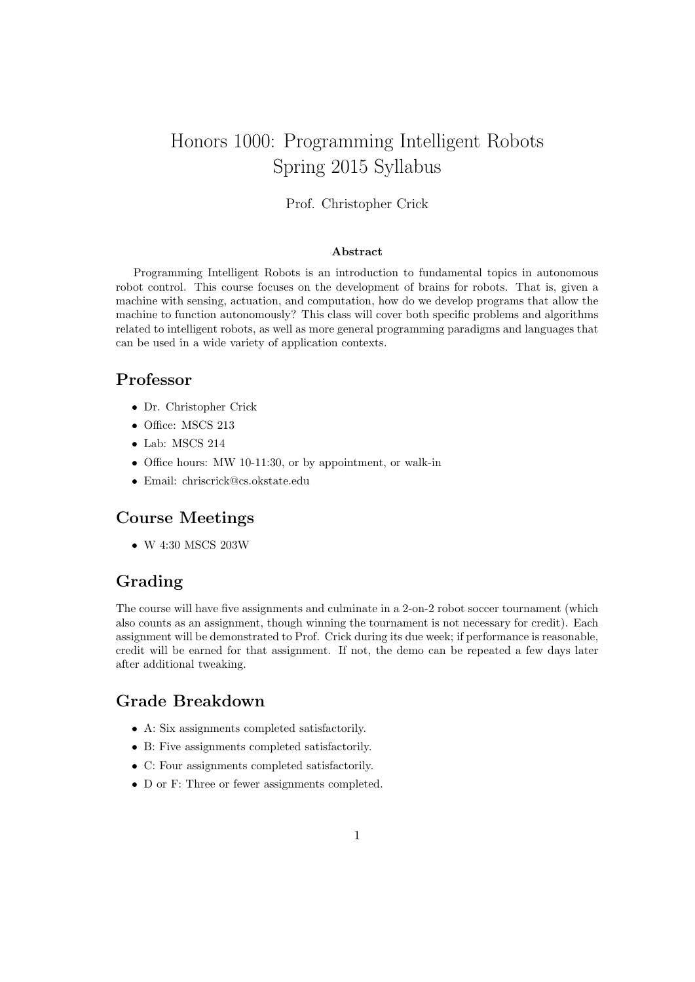# Honors 1000: Programming Intelligent Robots Spring 2015 Syllabus

#### Prof. Christopher Crick

#### Abstract

Programming Intelligent Robots is an introduction to fundamental topics in autonomous robot control. This course focuses on the development of brains for robots. That is, given a machine with sensing, actuation, and computation, how do we develop programs that allow the machine to function autonomously? This class will cover both specific problems and algorithms related to intelligent robots, as well as more general programming paradigms and languages that can be used in a wide variety of application contexts.

#### Professor

- Dr. Christopher Crick
- Office: MSCS 213
- Lab: MSCS 214
- Office hours: MW 10-11:30, or by appointment, or walk-in
- Email: chriscrick@cs.okstate.edu

#### Course Meetings

• W 4:30 MSCS 203W

## Grading

The course will have five assignments and culminate in a 2-on-2 robot soccer tournament (which also counts as an assignment, though winning the tournament is not necessary for credit). Each assignment will be demonstrated to Prof. Crick during its due week; if performance is reasonable, credit will be earned for that assignment. If not, the demo can be repeated a few days later after additional tweaking.

#### Grade Breakdown

- A: Six assignments completed satisfactorily.
- B: Five assignments completed satisfactorily.
- C: Four assignments completed satisfactorily.
- D or F: Three or fewer assignments completed.